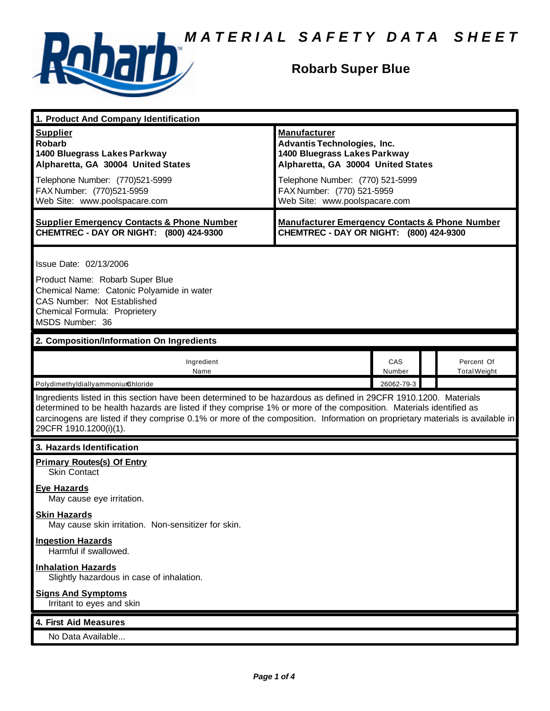

## **Robarb Super Blue**

| 1. Product And Company Identification                                                                                                                                                                                                                                                                                                                                                             |                                                                                                                                                                                                                                    |               |                                   |  |
|---------------------------------------------------------------------------------------------------------------------------------------------------------------------------------------------------------------------------------------------------------------------------------------------------------------------------------------------------------------------------------------------------|------------------------------------------------------------------------------------------------------------------------------------------------------------------------------------------------------------------------------------|---------------|-----------------------------------|--|
| <b>Supplier</b><br><b>Robarb</b><br>1400 Bluegrass Lakes Parkway<br>Alpharetta, GA 30004 United States<br>Telephone Number: (770)521-5999<br>FAX Number: (770)521-5959<br>Web Site: www.poolspacare.com                                                                                                                                                                                           | <b>Manufacturer</b><br><b>Advantis Technologies, Inc.</b><br>1400 Bluegrass Lakes Parkway<br>Alpharetta, GA 30004 United States<br>Telephone Number: (770) 521-5999<br>FAX Number: (770) 521-5959<br>Web Site: www.poolspacare.com |               |                                   |  |
| <b>Supplier Emergency Contacts &amp; Phone Number</b><br>CHEMTREC - DAY OR NIGHT: (800) 424-9300                                                                                                                                                                                                                                                                                                  | <b>Manufacturer Emergency Contacts &amp; Phone Number</b><br>CHEMTREC - DAY OR NIGHT: (800) 424-9300                                                                                                                               |               |                                   |  |
| Issue Date: 02/13/2006<br>Product Name: Robarb Super Blue<br>Chemical Name: Catonic Polyamide in water<br>CAS Number: Not Established<br>Chemical Formula: Proprietery<br>MSDS Number: 36                                                                                                                                                                                                         |                                                                                                                                                                                                                                    |               |                                   |  |
| 2. Composition/Information On Ingredients                                                                                                                                                                                                                                                                                                                                                         |                                                                                                                                                                                                                                    |               |                                   |  |
| Ingredient<br>Name                                                                                                                                                                                                                                                                                                                                                                                |                                                                                                                                                                                                                                    | CAS<br>Number | Percent Of<br><b>Total Weight</b> |  |
| Polydimethyldiallyammoniumchloride                                                                                                                                                                                                                                                                                                                                                                | 26062-79-3                                                                                                                                                                                                                         |               |                                   |  |
| Ingredients listed in this section have been determined to be hazardous as defined in 29CFR 1910.1200. Materials<br>determined to be health hazards are listed if they comprise 1% or more of the composition. Materials identified as<br>carcinogens are listed if they comprise 0.1% or more of the composition. Information on proprietary materials is available in<br>29CFR 1910.1200(i)(1). |                                                                                                                                                                                                                                    |               |                                   |  |
| 3. Hazards Identification                                                                                                                                                                                                                                                                                                                                                                         |                                                                                                                                                                                                                                    |               |                                   |  |
| <b>Primary Routes(s) Of Entry</b><br><b>Skin Contact</b>                                                                                                                                                                                                                                                                                                                                          |                                                                                                                                                                                                                                    |               |                                   |  |
| <b>Eye Hazards</b><br>May cause eye irritation.                                                                                                                                                                                                                                                                                                                                                   |                                                                                                                                                                                                                                    |               |                                   |  |
| <b>Skin Hazards</b><br>May cause skin irritation. Non-sensitizer for skin.                                                                                                                                                                                                                                                                                                                        |                                                                                                                                                                                                                                    |               |                                   |  |
| <b>Ingestion Hazards</b><br>Harmful if swallowed.                                                                                                                                                                                                                                                                                                                                                 |                                                                                                                                                                                                                                    |               |                                   |  |
| <b>Inhalation Hazards</b><br>Slightly hazardous in case of inhalation.                                                                                                                                                                                                                                                                                                                            |                                                                                                                                                                                                                                    |               |                                   |  |
| <b>Signs And Symptoms</b><br>Irritant to eyes and skin                                                                                                                                                                                                                                                                                                                                            |                                                                                                                                                                                                                                    |               |                                   |  |
| 4. First Aid Measures                                                                                                                                                                                                                                                                                                                                                                             |                                                                                                                                                                                                                                    |               |                                   |  |
| No Data Available                                                                                                                                                                                                                                                                                                                                                                                 |                                                                                                                                                                                                                                    |               |                                   |  |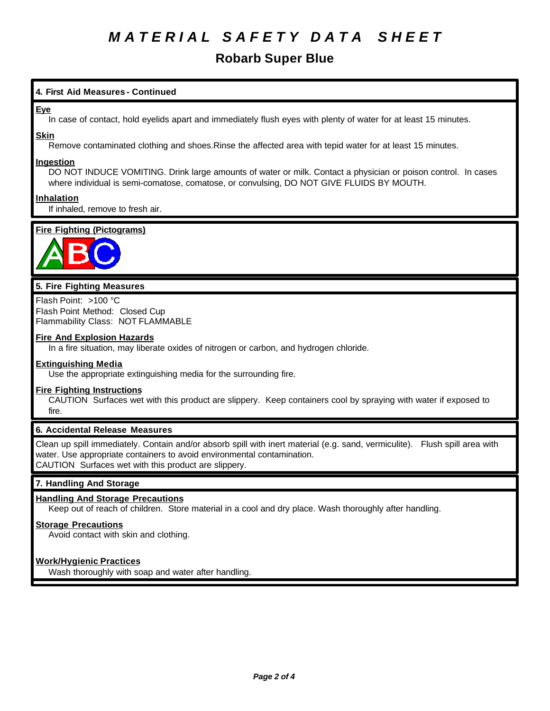# *M A T E R I A L S A F E T Y D A T A S H E E T*

### **Robarb Super Blue**

### **4. First Aid Measures - Continued**

#### **Eye**

In case of contact, hold eyelids apart and immediately flush eyes with plenty of water for at least 15 minutes.

#### **Skin**

Remove contaminated clothing and shoes.Rinse the affected area with tepid water for at least 15 minutes.

#### **Ingestion**

DO NOT INDUCE VOMITING. Drink large amounts of water or milk. Contact a physician or poison control. In cases where individual is semi-comatose, comatose, or convulsing, DO NOT GIVE FLUIDS BY MOUTH.

#### **Inhalation**

If inhaled, remove to fresh air.

### **Fire Fighting (Pictograms)**



### **5. Fire Fighting Measures**

Flash Point: >100 °C Flash Point Method: Closed Cup Flammability Class: NOT FLAMMABLE

#### **Fire And Explosion Hazards**

In a fire situation, may liberate oxides of nitrogen or carbon, and hydrogen chloride.

#### **Extinguishing Media**

Use the appropriate extinguishing media for the surrounding fire.

#### **Fire Fighting Instructions**

CAUTION Surfaces wet with this product are slippery. Keep containers cool by spraying with water if exposed to fire.

#### **6. Accidental Release Measures**

Clean up spill immediately. Contain and/or absorb spill with inert material (e.g. sand, vermiculite). Flush spill area with water. Use appropriate containers to avoid environmental contamination. CAUTION Surfaces wet with this product are slippery.

#### **7. Handling And Storage**

#### **Handling And Storage Precautions**

Keep out of reach of children. Store material in a cool and dry place. Wash thoroughly after handling.

#### **Storage Precautions**

Avoid contact with skin and clothing.

#### **Work/Hygienic Practices**

Wash thoroughly with soap and water after handling.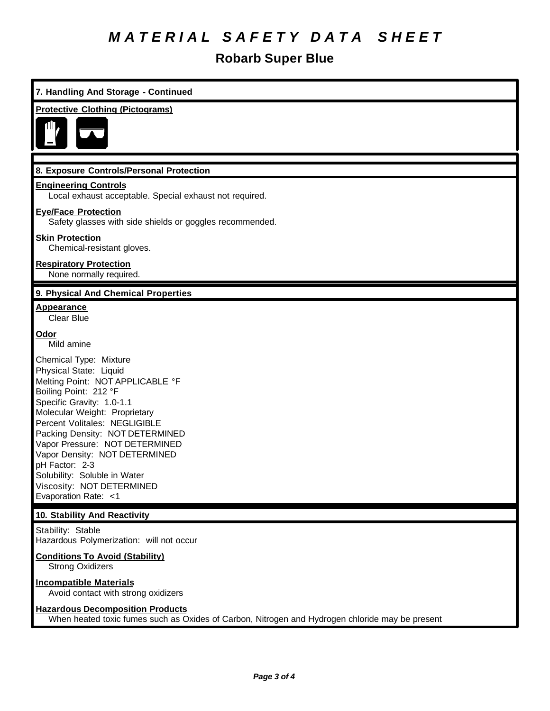# *M A T E R I A L S A F E T Y D A T A S H E E T*

## **Robarb Super Blue**

| 7. Handling And Storage - Continued                                                                                                                                                                                                                                                                                                                                                                                       |  |  |
|---------------------------------------------------------------------------------------------------------------------------------------------------------------------------------------------------------------------------------------------------------------------------------------------------------------------------------------------------------------------------------------------------------------------------|--|--|
| <b>Protective Clothing (Pictograms)</b>                                                                                                                                                                                                                                                                                                                                                                                   |  |  |
|                                                                                                                                                                                                                                                                                                                                                                                                                           |  |  |
| 8. Exposure Controls/Personal Protection                                                                                                                                                                                                                                                                                                                                                                                  |  |  |
| <b>Engineering Controls</b><br>Local exhaust acceptable. Special exhaust not required.                                                                                                                                                                                                                                                                                                                                    |  |  |
| <b>Eye/Face Protection</b><br>Safety glasses with side shields or goggles recommended.                                                                                                                                                                                                                                                                                                                                    |  |  |
| <b>Skin Protection</b><br>Chemical-resistant gloves.                                                                                                                                                                                                                                                                                                                                                                      |  |  |
| <b>Respiratory Protection</b><br>None normally required.                                                                                                                                                                                                                                                                                                                                                                  |  |  |
| 9. Physical And Chemical Properties                                                                                                                                                                                                                                                                                                                                                                                       |  |  |
| <b>Appearance</b><br><b>Clear Blue</b>                                                                                                                                                                                                                                                                                                                                                                                    |  |  |
| <u>Odor</u><br>Mild amine                                                                                                                                                                                                                                                                                                                                                                                                 |  |  |
| Chemical Type: Mixture<br>Physical State: Liquid<br>Melting Point: NOT APPLICABLE °F<br>Boiling Point: 212 °F<br>Specific Gravity: 1.0-1.1<br>Molecular Weight: Proprietary<br>Percent Volitales: NEGLIGIBLE<br>Packing Density: NOT DETERMINED<br>Vapor Pressure: NOT DETERMINED<br>Vapor Density: NOT DETERMINED<br>pH Factor: 2-3<br>Solubility: Soluble in Water<br>Viscosity: NOT DETERMINED<br>Evaporation Rate: <1 |  |  |
| 10. Stability And Reactivity                                                                                                                                                                                                                                                                                                                                                                                              |  |  |
| Stability: Stable<br>Hazardous Polymerization: will not occur                                                                                                                                                                                                                                                                                                                                                             |  |  |
| <b>Conditions To Avoid (Stability)</b><br><b>Strong Oxidizers</b>                                                                                                                                                                                                                                                                                                                                                         |  |  |
| <b>Incompatible Materials</b><br>Avoid contact with strong oxidizers                                                                                                                                                                                                                                                                                                                                                      |  |  |
| <b>Hazardous Decomposition Products</b><br>When heated toxic fumes such as Oxides of Carbon, Nitrogen and Hydrogen chloride may be present                                                                                                                                                                                                                                                                                |  |  |